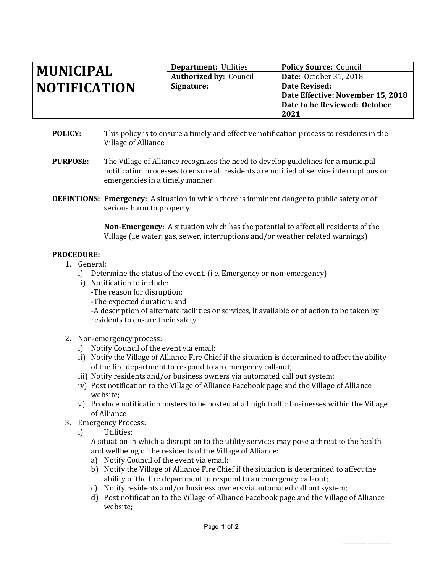| <b>MUNICIPAL</b>    | <b>Department: Utilities</b>  | <b>Policy Source: Council</b>     |
|---------------------|-------------------------------|-----------------------------------|
|                     | <b>Authorized by: Council</b> | <b>Date: October 31, 2018</b>     |
| <b>NOTIFICATION</b> | Signature:                    | Date Revised:                     |
|                     |                               | Date Effective: November 15, 2018 |
|                     |                               | Date to be Reviewed: October      |
|                     |                               | 2021                              |

- **POLICY:** This policy is to ensure a timely and effective notification process to residents in the Village of Alliance
- **PURPOSE:** The Village of Alliance recognizes the need to develop guidelines for a municipal notification processes to ensure all residents are notified of service interruptions or emergencies in a timely manner
- **DEFINTIONS: Emergency:** A situation in which there is imminent danger to public safety or of serious harm to property

**Non-Emergency**: A situation which has the potential to affect all residents of the Village (i.e water, gas, sewer, interruptions and/or weather related warnings)

## **PROCEDURE:**

- 1. General:
	- i) Determine the status of the event. (i.e. Emergency or non-emergency)
	- ii) Notification to include:
		- -The reason for disruption;
		- -The expected duration; and

-A description of alternate facilities or services, if available or of action to be taken by residents to ensure their safety

- 2. Non-emergency process:
	- i) Notify Council of the event via email;
	- ii) Notify the Village of Alliance Fire Chief if the situation is determined to affect the ability of the fire department to respond to an emergency call-out;
	- iii) Notify residents and/or business owners via automated call out system;
	- iv) Post notification to the Village of Alliance Facebook page and the Village of Alliance website;
	- v) Produce notification posters to be posted at all high traffic businesses within the Village of Alliance
- 3. Emergency Process:
	- i) Utilities:

A situation in which a disruption to the utility services may pose a threat to the health and wellbeing of the residents of the Village of Alliance:

- a) Notify Council of the event via email;
- b) Notify the Village of Alliance Fire Chief if the situation is determined to affect the ability of the fire department to respond to an emergency call-out;
- c) Notify residents and/or business owners via automated call out system;
- d) Post notification to the Village of Alliance Facebook page and the Village of Alliance website;

\_\_\_\_\_\_\_ \_\_\_\_\_\_\_